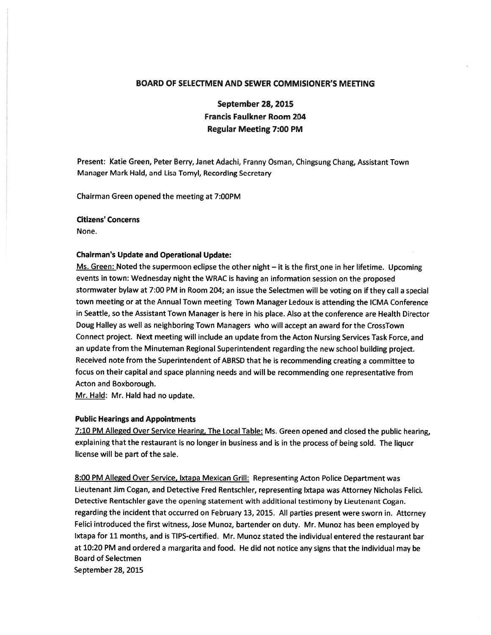# BOARD OF SELECTMEN AND SEWER COMMISIONER'S MEETING

September 28, 2015 Francis Faulkner Room 204 Regular Meeting 7:00 PM

Present: Katie Green, Peter Berry, Janet Adachi, Franny Osman, Chingsung Chang, Assistant Town Manager Mark Hald, and Lisa Tomyl, Recording Secretary

Chairman Green opened the meeting at 7:00PM

### Citizens' Concerns

None.

#### Chairman's Update and Operational Update:

Ms. Green: Noted the supermoon eclipse the other night — it is the first one in her lifetime. Upcoming events in town: Wednesday night the WRAC is having an information session on the proposed stormwater bylaw at 7:00 PM in Room 204; an issue the Selectmen will be voting on if they call <sup>a</sup> special town meeting or at the Annual Town meeting Town Manager Ledoux is attending the ICMA Conference in Seattle, so the Assistant Town Manager is here in his place. Also at the conference are Health Director Doug Halley as well as neighboring Town Managers who will accep<sup>t</sup> an award for the CrossTown Connect project. Next meeting will include an update from the Acton Nursing Services Task Force, and an update from the Minuteman Regional Superintendent regarding the new school building project. Received note from the Superintendent of ABRSD that he is recommending creating <sup>a</sup> committee to focus on their capital and space <sup>p</sup>lanning needs and will be recommending one representative from Acton and Boxborough.

Mr. Hald: Mr. Hald had no update.

## Public Hearings and Appointments

7:10 PM Alleged Over Service Hearing, The Local Table: Ms. Green opene<sup>d</sup> and closed the public hearing, explaining that the restaurant is no longer in business and is in the process of being sold. The liquor license will be par<sup>t</sup> of the sale.

8:00 PM Alleged Over Service, Ixtapa Mexican Grill: Representing Acton Police Department was Lieutenant Jim Cogan, and Detective Fred Rentschler, representing Ixtapa was Attorney Nicholas Felici. Detective Rentschler gave the opening statement with additional testimony by Lieutenant Cogan. regarding the incident that occurred on February 13, 2015. All parties presen<sup>t</sup> were sworn in. Attorney Felici introduced the first witness, Jose Munoz, bartender on duty. Mr. Munoz has been employed by Ixtapa for 11 months, and is TIPS-certified. Mr. Munoz stated the individual entered the restaurant bar at 10:20 PM and ordered <sup>a</sup> margarita and food. He did not notice any signs that the individual may be Board of Selectmen September 28, 2015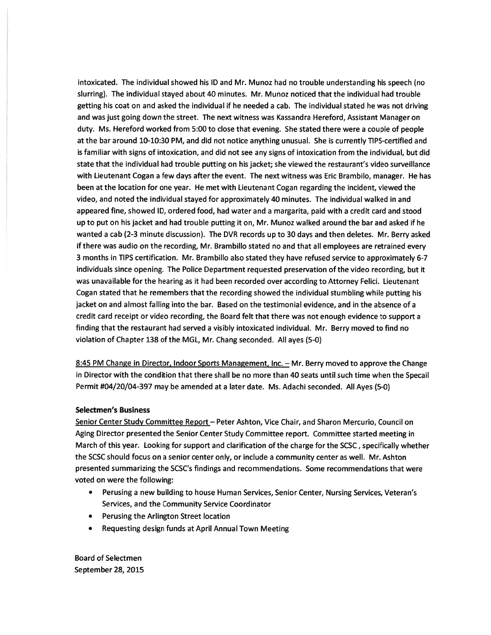intoxicated. The individual showed his ID and Mr. Munoz had no trouble understanding his speech (no slurring). The individual stayed about 40 minutes. Mr. Munoz noticed that the individual had trouble getting his coat on and asked the individual if he needed <sup>a</sup> cab. The individual stated he was not driving and was just going down the street. The next witness was Kassandra Hereford, Assistant Manager on duty. Ms. Hereford worked from 5:00 to close that evening. She stated there were <sup>a</sup> couple of people at the bar around 10-10:30 PM, and did not notice anything unusual. She is currently TIPS-certified and is familiar with signs of intoxication, and did not see any signs of intoxication from the individual, but did state that the individual had trouble putting on his jacket; she viewed the restaurant's video surveillance with Lieutenant Cogan <sup>a</sup> few days after the event. The next witness was Eric Brambilo, manager. He has been at the location for one year. He met with Lieutenant Cogan regarding the incident, viewed the video, and noted the individual stayed for approximately 40 minutes. The individual walked in and appeared fine, showed ID, ordered food, had water and <sup>a</sup> margarita, paid with <sup>a</sup> credit card and stood up to pu<sup>t</sup> on his jacket and had trouble putting it on, Mr. Munoz walked around the bar and asked if he wanted <sup>a</sup> cab (2-3 minute discussion). The DVR records up to 30 days and then deletes. Mr. Berry asked if there was audio on the recording, Mr. Brambillo stated no and that all employees are retrained every 3 months in TIPS certification. Mr. Brambillo also stated they have refused service to approximately 6-7 individuals since opening. The Police Department requested preservation of the video recording, but it was unavailable for the hearing as it had been recorded over according to Attorney Felici. Lieutenant Cogan stated that he remembers that the recording showed the individual stumbling while putting his jacket on and almost falling into the bar. Based on the testimonial evidence, and in the absence of <sup>a</sup> credit card receipt or video recording, the Board felt that there was not enough evidence to suppor<sup>t</sup> <sup>a</sup> finding that the restaurant had served <sup>a</sup> visibly intoxicated individual. Mr. Berry moved to find no violation of Chapter 138 of the MGL, Mr. Chang seconded. All ayes (5-0)

8:45 PM Change in Director, Indoor Sports Management, Inc. - Mr. Berry moved to approve the Change in Director with the condition that there shall be no more than 40 seats until such time when the Specail Permit #04/20/04-397 may be amended at <sup>a</sup> later date. Ms. Adachi seconded. All Ayes (5-0)

# Selectmen's Business

Senior Center Study Committee Report - Peter Ashton, Vice Chair, and Sharon Mercurio, Council on Aging Director presented the Senior Center Study Committee report. Committee started meeting in March of this year. Looking for suppor<sup>t</sup> and clarification of the charge for the SCSC, specifically whether the SCSC should focus on <sup>a</sup> senior center only, or include <sup>a</sup> community center as well. Mr. Ashton presented summarizing the SCSC's findings and recommendations. Some recommendations that were voted on were the following:

- • Perusing <sup>a</sup> new building to house Human Services, Senior Center, Nursing Services, Veteran's Services, and the Community Service Coordinator
- Perusing the Arlington Street location
- Requesting design funds at April Annual Town Meeting

Board of Selectmen September 28, 2015